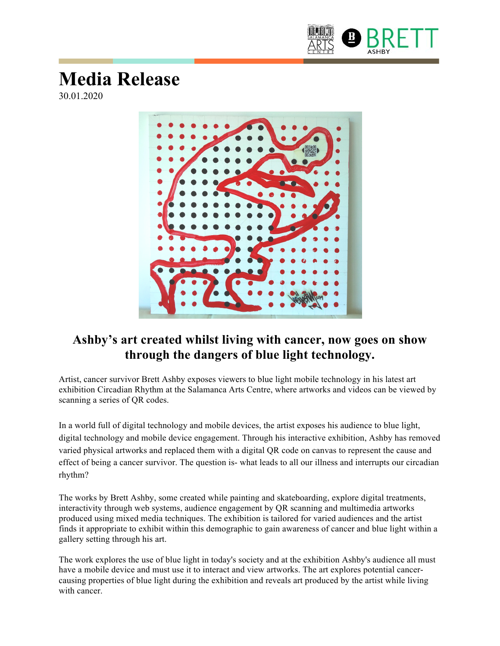

## **Media Release**

30.01.2020



## **Ashby's art created whilst living with cancer, now goes on show through the dangers of blue light technology.**

Artist, cancer survivor Brett Ashby exposes viewers to blue light mobile technology in his latest art exhibition Circadian Rhythm at the Salamanca Arts Centre, where artworks and videos can be viewed by scanning a series of QR codes.

In a world full of digital technology and mobile devices, the artist exposes his audience to blue light, digital technology and mobile device engagement. Through his interactive exhibition, Ashby has removed varied physical artworks and replaced them with a digital QR code on canvas to represent the cause and effect of being a cancer survivor. The question is- what leads to all our illness and interrupts our circadian rhythm?

The works by Brett Ashby, some created while painting and skateboarding, explore digital treatments, interactivity through web systems, audience engagement by QR scanning and multimedia artworks produced using mixed media techniques. The exhibition is tailored for varied audiences and the artist finds it appropriate to exhibit within this demographic to gain awareness of cancer and blue light within a gallery setting through his art.

The work explores the use of blue light in today's society and at the exhibition Ashby's audience all must have a mobile device and must use it to interact and view artworks. The art explores potential cancercausing properties of blue light during the exhibition and reveals art produced by the artist while living with cancer.